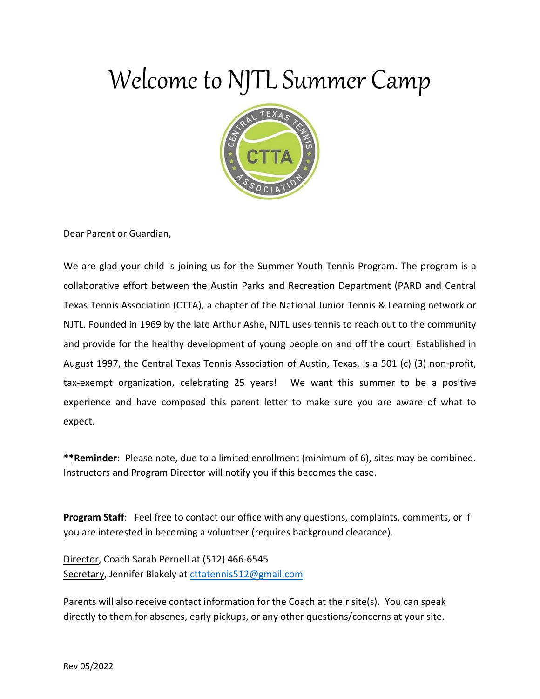

Dear Parent or Guardian,

We are glad your child is joining us for the Summer Youth Tennis Program. The program is a collaborative effort between the Austin Parks and Recreation Department (PARD and Central Texas Tennis Association (CTTA), a chapter of the National Junior Tennis & Learning network or NJTL. Founded in 1969 by the late Arthur Ashe, NJTL uses tennis to reach out to the community and provide for the healthy development of young people on and off the court. Established in August 1997, the Central Texas Tennis Association of Austin, Texas, is a 501 (c) (3) non-profit, tax-exempt organization, celebrating 25 years! We want this summer to be a positive experience and have composed this parent letter to make sure you are aware of what to expect.

**\*\*Reminder:** Please note, due to a limited enrollment (minimum of 6), sites may be combined. Instructors and Program Director will notify you if this becomes the case.

**Program Staff**: Feel free to contact our office with any questions, complaints, comments, or if you are interested in becoming a volunteer (requires background clearance).

Director, Coach Sarah Pernell at (512) 466-6545 Secretary, Jennifer Blakely at [cttatennis512@gmail.com](mailto:cttatennis512@gmail.com)

Parents will also receive contact information for the Coach at their site(s). You can speak directly to them for absenes, early pickups, or any other questions/concerns at your site.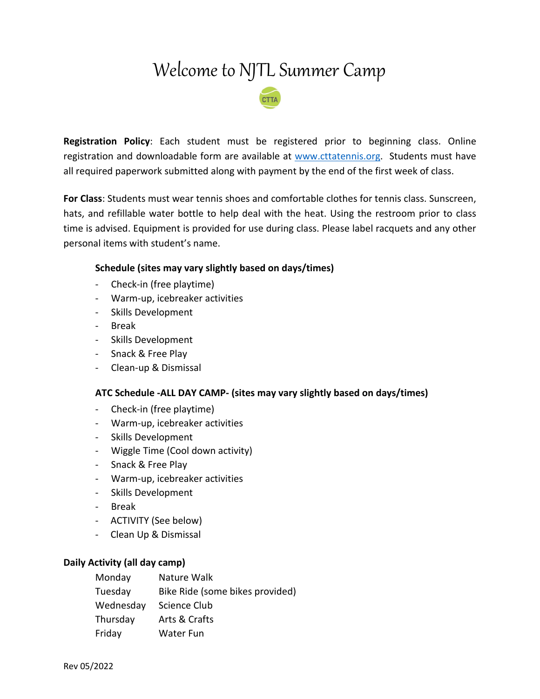

**Registration Policy**: Each student must be registered prior to beginning class. Online registration and downloadable form are available at [www.cttatennis.org.](http://www.cttatennis.org/) Students must have all required paperwork submitted along with payment by the end of the first week of class.

**For Class**: Students must wear tennis shoes and comfortable clothes for tennis class. Sunscreen, hats, and refillable water bottle to help deal with the heat. Using the restroom prior to class time is advised. Equipment is provided for use during class. Please label racquets and any other personal items with student's name.

#### **Schedule (sites may vary slightly based on days/times)**

- Check-in (free playtime)
- Warm-up, icebreaker activities
- Skills Development
- Break
- Skills Development
- Snack & Free Play
- Clean-up & Dismissal

#### **ATC Schedule -ALL DAY CAMP- (sites may vary slightly based on days/times)**

- Check-in (free playtime)
- Warm-up, icebreaker activities
- Skills Development
- Wiggle Time (Cool down activity)
- Snack & Free Play
- Warm-up, icebreaker activities
- Skills Development
- Break
- ACTIVITY (See below)
- Clean Up & Dismissal

#### **Daily Activity (all day camp)**

| Monday    | Nature Walk                     |
|-----------|---------------------------------|
| Tuesday   | Bike Ride (some bikes provided) |
| Wednesday | Science Club                    |
| Thursday  | Arts & Crafts                   |
| Friday    | <b>Water Fun</b>                |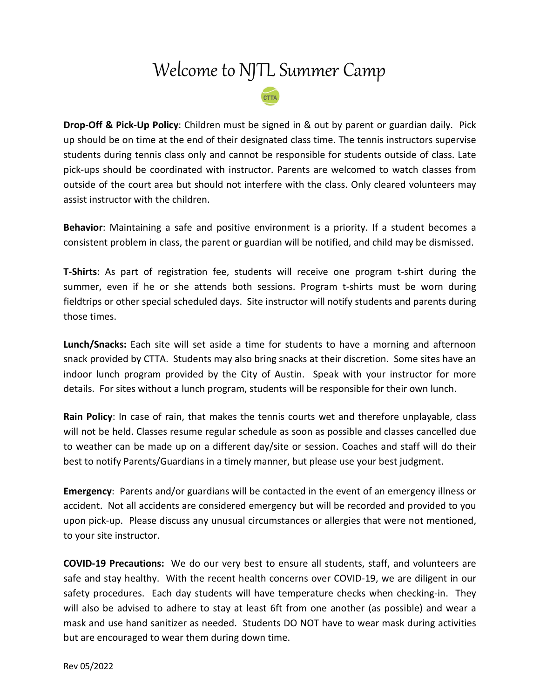**Drop-Off & Pick-Up Policy**: Children must be signed in & out by parent or guardian daily. Pick up should be on time at the end of their designated class time. The tennis instructors supervise students during tennis class only and cannot be responsible for students outside of class. Late pick-ups should be coordinated with instructor. Parents are welcomed to watch classes from outside of the court area but should not interfere with the class. Only cleared volunteers may assist instructor with the children.

**Behavior**: Maintaining a safe and positive environment is a priority. If a student becomes a consistent problem in class, the parent or guardian will be notified, and child may be dismissed.

**T-Shirts**: As part of registration fee, students will receive one program t-shirt during the summer, even if he or she attends both sessions. Program t-shirts must be worn during fieldtrips or other special scheduled days. Site instructor will notify students and parents during those times.

**Lunch/Snacks:** Each site will set aside a time for students to have a morning and afternoon snack provided by CTTA. Students may also bring snacks at their discretion. Some sites have an indoor lunch program provided by the City of Austin. Speak with your instructor for more details. For sites without a lunch program, students will be responsible for their own lunch.

**Rain Policy**: In case of rain, that makes the tennis courts wet and therefore unplayable, class will not be held. Classes resume regular schedule as soon as possible and classes cancelled due to weather can be made up on a different day/site or session. Coaches and staff will do their best to notify Parents/Guardians in a timely manner, but please use your best judgment.

**Emergency**: Parents and/or guardians will be contacted in the event of an emergency illness or accident. Not all accidents are considered emergency but will be recorded and provided to you upon pick-up. Please discuss any unusual circumstances or allergies that were not mentioned, to your site instructor.

**COVID-19 Precautions:** We do our very best to ensure all students, staff, and volunteers are safe and stay healthy. With the recent health concerns over COVID-19, we are diligent in our safety procedures. Each day students will have temperature checks when checking-in. They will also be advised to adhere to stay at least 6ft from one another (as possible) and wear a mask and use hand sanitizer as needed. Students DO NOT have to wear mask during activities but are encouraged to wear them during down time.